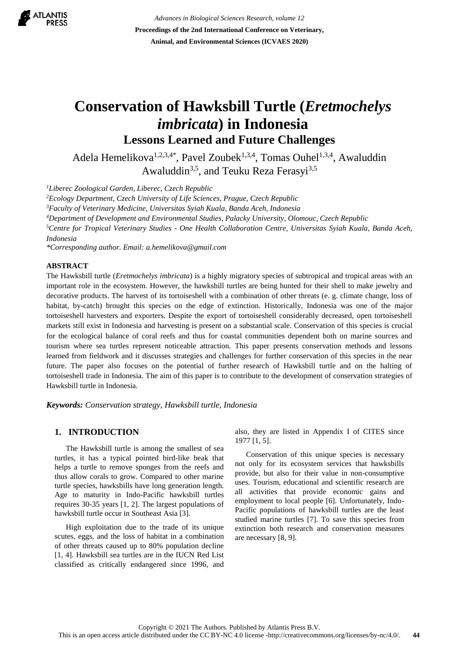

*Advances in Biological Sciences Research, volume 12* **Proceedings of the 2nd International Conference on Veterinary, Animal, and Environmental Sciences (ICVAES 2020)**

# **Conservation of Hawksbill Turtle (***Eretmochelys imbricata***) in Indonesia Lessons Learned and Future Challenges**

Adela Hemelikova<sup>1,2,3,4\*</sup>, Pavel Zoubek<sup>1,3,4</sup>, Tomas Ouhel<sup>1,3,4</sup>, Awaluddin Awaluddin<sup>3,5</sup>, and Teuku Reza Ferasyi<sup>3,5</sup>

*<sup>1</sup>Liberec Zoological Garden, Liberec, Czech Republic*

*<sup>2</sup>Ecology Department, Czech University of Life Sciences, Prague, Czech Republic*

*<sup>3</sup>Faculty of Veterinary Medicine, Universitas Syiah Kuala, Banda Aceh, Indonesia*

*<sup>4</sup>Department of Development and Environmental Studies, Palacky University, Olomouc, Czech Republic*

*<sup>5</sup>Centre for Tropical Veterinary Studies - One Health Collaboration Centre, Universitas Syiah Kuala, Banda Aceh, Indonesia*

*\*Corresponding author. Email: [a.hemelikova@gmail.com](mailto:a.hemelikova@gmail.comg)*

#### **ABSTRACT**

The Hawksbill turtle (*Eretmochelys imbricata*) is a highly migratory species of subtropical and tropical areas with an important role in the ecosystem. However, the hawksbill turtles are being hunted for their shell to make jewelry and decorative products. The harvest of its tortoiseshell with a combination of other threats (e. g. climate change, loss of habitat, by-catch) brought this species on the edge of extinction. Historically, Indonesia was one of the major tortoiseshell harvesters and exporters. Despite the export of tortoiseshell considerably decreased, open tortoiseshell markets still exist in Indonesia and harvesting is present on a substantial scale. Conservation of this species is crucial for the ecological balance of coral reefs and thus for coastal communities dependent both on marine sources and tourism where sea turtles represent noticeable attraction. This paper presents conservation methods and lessons learned from fieldwork and it discusses strategies and challenges for further conservation of this species in the near future. The paper also focuses on the potential of further research of Hawksbill turtle and on the halting of tortoiseshell trade in Indonesia. The aim of this paper is to contribute to the development of conservation strategies of Hawksbill turtle in Indonesia.

*Keywords: Conservation strategy, Hawksbill turtle, Indonesia*

# **1. INTRODUCTION**

The Hawksbill turtle is among the smallest of sea turtles, it has a typical pointed bird-like beak that helps a turtle to remove sponges from the reefs and thus allow corals to grow. Compared to other marine turtle species, hawksbills have long generation length. Age to maturity in Indo-Pacific hawksbill turtles requires 30-35 years [1, 2]. The largest populations of hawksbill turtle occur in Southeast Asia [3].

High exploitation due to the trade of its unique scutes, eggs, and the loss of habitat in a combination of other threats caused up to 80% population decline [1, 4]. Hawksbill sea turtles are in the IUCN Red List classified as critically endangered since 1996, and also, they are listed in Appendix I of CITES since 1977 [1, 5].

Conservation of this unique species is necessary not only for its ecosystem services that hawksbills provide, but also for their value in non-consumptive uses. Tourism, educational and scientific research are all activities that provide economic gains and employment to local people [6]. Unfortunately, Indo-Pacific populations of hawksbill turtles are the least studied marine turtles [7]. To save this species from extinction both research and conservation measures are necessary [8, 9].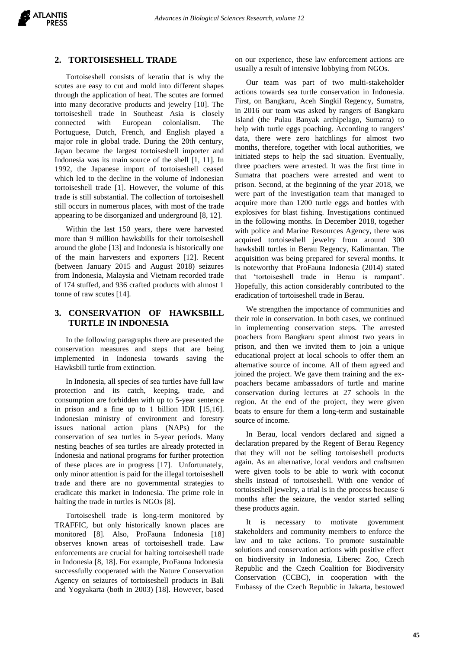

#### **2. TORTOISESHELL TRADE**

Tortoiseshell consists of keratin that is why the scutes are easy to cut and mold into different shapes through the application of heat. The scutes are formed into many decorative products and jewelry [10]. The tortoiseshell trade in Southeast Asia is closely connected with European colonialism. The Portuguese, Dutch, French, and English played a major role in global trade. During the 20th century, Japan became the largest tortoiseshell importer and Indonesia was its main source of the shell [1, 11]. In 1992, the Japanese import of tortoiseshell ceased which led to the decline in the volume of Indonesian tortoiseshell trade [1]. However, the volume of this trade is still substantial. The collection of tortoiseshell still occurs in numerous places, with most of the trade appearing to be disorganized and underground [8, 12].

Within the last 150 years, there were harvested more than 9 million hawksbills for their tortoiseshell around the globe [13] and Indonesia is historically one of the main harvesters and exporters [12]. Recent (between January 2015 and August 2018) seizures from Indonesia, Malaysia and Vietnam recorded trade of 174 stuffed, and 936 crafted products with almost 1 tonne of raw scutes [14].

# **3. CONSERVATION OF HAWKSBILL TURTLE IN INDONESIA**

In the following paragraphs there are presented the conservation measures and steps that are being implemented in Indonesia towards saving the Hawksbill turtle from extinction.

In Indonesia, all species of sea turtles have full law protection and its catch, keeping, trade, and consumption are forbidden with up to 5-year sentence in prison and a fine up to 1 billion IDR [15,16]. Indonesian ministry of environment and forestry issues national action plans (NAPs) for the conservation of sea turtles in 5-year periods. Many nesting beaches of sea turtles are already protected in Indonesia and national programs for further protection of these places are in progress [17]. Unfortunately, only minor attention is paid for the illegal tortoiseshell trade and there are no governmental strategies to eradicate this market in Indonesia. The prime role in halting the trade in turtles is NGOs [8].

Tortoiseshell trade is long-term monitored by TRAFFIC, but only historically known places are monitored [8]. Also, ProFauna Indonesia [18] observes known areas of tortoiseshell trade. Law enforcements are crucial for halting tortoiseshell trade in Indonesia [8, 18]. For example, ProFauna Indonesia successfully cooperated with the Nature Conservation Agency on seizures of tortoiseshell products in Bali and Yogyakarta (both in 2003) [18]. However, based on our experience, these law enforcement actions are usually a result of intensive lobbying from NGOs.

Our team was part of two multi-stakeholder actions towards sea turtle conservation in Indonesia. First, on Bangkaru, Aceh Singkil Regency, Sumatra, in 2016 our team was asked by rangers of Bangkaru Island (the Pulau Banyak archipelago, Sumatra) to help with turtle eggs poaching. According to rangers' data, there were zero hatchlings for almost two months, therefore, together with local authorities, we initiated steps to help the sad situation. Eventually, three poachers were arrested. It was the first time in Sumatra that poachers were arrested and went to prison. Second, at the beginning of the year 2018, we were part of the investigation team that managed to acquire more than 1200 turtle eggs and bottles with explosives for blast fishing. Investigations continued in the following months. In December 2018, together with police and Marine Resources Agency, there was acquired tortoiseshell jewelry from around 300 hawksbill turtles in Berau Regency, Kalimantan. The acquisition was being prepared for several months. It is noteworthy that ProFauna Indonesia (2014) stated that 'tortoiseshell trade in Berau is rampant'. Hopefully, this action considerably contributed to the eradication of tortoiseshell trade in Berau.

We strengthen the importance of communities and their role in conservation. In both cases, we continued in implementing conservation steps. The arrested poachers from Bangkaru spent almost two years in prison, and then we invited them to join a unique educational project at local schools to offer them an alternative source of income. All of them agreed and joined the project. We gave them training and the expoachers became ambassadors of turtle and marine conservation during lectures at 27 schools in the region. At the end of the project, they were given boats to ensure for them a long-term and sustainable source of income.

In Berau, local vendors declared and signed a declaration prepared by the Regent of Berau Regency that they will not be selling tortoiseshell products again. As an alternative, local vendors and craftsmen were given tools to be able to work with coconut shells instead of tortoiseshell. With one vendor of tortoiseshell jewelry, a trial is in the process because 6 months after the seizure, the vendor started selling these products again.

It is necessary to motivate government stakeholders and community members to enforce the law and to take actions. To promote sustainable solutions and conservation actions with positive effect on biodiversity in Indonesia, Liberec Zoo, Czech Republic and the Czech Coalition for Biodiversity Conservation (CCBC), in cooperation with the Embassy of the Czech Republic in Jakarta, bestowed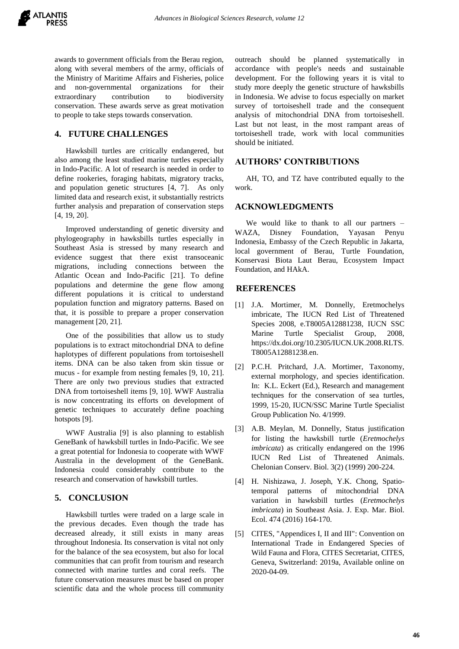

awards to government officials from the Berau region, along with several members of the army, officials of the Ministry of Maritime Affairs and Fisheries, police and non-governmental organizations for their extraordinary contribution to biodiversity conservation. These awards serve as great motivation to people to take steps towards conservation.

# **4. FUTURE CHALLENGES**

Hawksbill turtles are critically endangered, but also among the least studied marine turtles especially in Indo-Pacific. A lot of research is needed in order to define rookeries, foraging habitats, migratory tracks, and population genetic structures [4, 7]. As only limited data and research exist, it substantially restricts further analysis and preparation of conservation steps [4, 19, 20].

Improved understanding of genetic diversity and phylogeography in hawksbills turtles especially in Southeast Asia is stressed by many research and evidence suggest that there exist transoceanic migrations, including connections between the Atlantic Ocean and Indo-Pacific [21]. To define populations and determine the gene flow among different populations it is critical to understand population function and migratory patterns. Based on that, it is possible to prepare a proper conservation management [20, 21].

One of the possibilities that allow us to study populations is to extract mitochondrial DNA to define haplotypes of different populations from tortoiseshell items. DNA can be also taken from skin tissue or mucus - for example from nesting females [9, 10, 21]. There are only two previous studies that extracted DNA from tortoiseshell items [9, 10]. WWF Australia is now concentrating its efforts on development of genetic techniques to accurately define poaching hotspots [9].

WWF Australia [9] is also planning to establish GeneBank of hawksbill turtles in Indo-Pacific. We see a great potential for Indonesia to cooperate with WWF Australia in the development of the GeneBank. Indonesia could considerably contribute to the research and conservation of hawksbill turtles.

# **5. CONCLUSION**

Hawksbill turtles were traded on a large scale in the previous decades. Even though the trade has decreased already, it still exists in many areas throughout Indonesia. Its conservation is vital not only for the balance of the sea ecosystem, but also for local communities that can profit from tourism and research connected with marine turtles and coral reefs. The future conservation measures must be based on proper scientific data and the whole process till community outreach should be planned systematically in accordance with people's needs and sustainable development. For the following years it is vital to study more deeply the genetic structure of hawksbills in Indonesia. We advise to focus especially on market survey of tortoiseshell trade and the consequent analysis of mitochondrial DNA from tortoiseshell. Last but not least, in the most rampant areas of tortoiseshell trade, work with local communities should be initiated.

# **AUTHORS' CONTRIBUTIONS**

AH, TO, and TZ have contributed equally to the work.

## **ACKNOWLEDGMENTS**

We would like to thank to all our partners -WAZA, Disney Foundation, Yayasan Penyu Indonesia, Embassy of the Czech Republic in Jakarta, local government of Berau, Turtle Foundation, Konservasi Biota Laut Berau, Ecosystem Impact Foundation, and HAkA.

## **REFERENCES**

- [1] J.A. Mortimer, M. Donnelly, Eretmochelys imbricate, The IUCN Red List of Threatened Species 2008, e.T8005A12881238, IUCN SSC Marine Turtle Specialist Group, 2008, [https://dx.doi.org/10.2305/IUCN.UK.2008.RLTS.](https://dx.doi.org/10.2305/IUCN.UK.2008.RLTS.T8005A12881238.en) [T8005A12881238.en.](https://dx.doi.org/10.2305/IUCN.UK.2008.RLTS.T8005A12881238.en)
- [2] P.C.H. Pritchard, J.A. Mortimer, Taxonomy, external morphology, and species identification. In: K.L. Eckert (Ed.), Research and management techniques for the conservation of sea turtles, 1999, 15-20, IUCN/SSC Marine Turtle Specialist Group Publication No. 4/1999.
- [3] A.B. Meylan, M. Donnelly, Status justification for listing the hawksbill turtle (*Eretmochelys imbricata*) as critically endangered on the 1996 IUCN Red List of Threatened Animals. Chelonian Conserv. Biol. 3(2) (1999) 200-224.
- [4] H. Nishizawa, J. Joseph, Y.K. Chong, Spatiotemporal patterns of mitochondrial DNA variation in hawksbill turtles (*Eretmochelys imbricata*) in Southeast Asia. J. Exp. Mar. Biol. Ecol. 474 (2016) 164-170.
- [5] CITES, "Appendices I, II and III": Convention on International Trade in Endangered Species of Wild Fauna and Flora, CITES Secretariat, CITES, Geneva, Switzerland: 2019a, Available online on 2020-04-09.